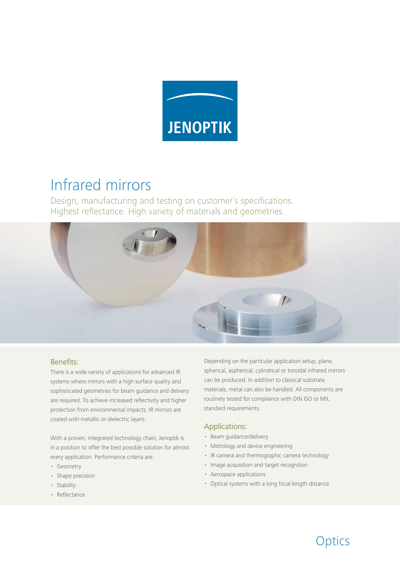

## Infrared mirrors

Design, manufacturing and testing on customer´s specifications. Highest reflectance. High variety of materials and geometries.



## Benefits:

There is a wide variety of applications for advanced IR systems where mirrors with a high surface quality and sophisticated geometries for beam guidance and delivery are required. To achieve increased reflectivity and higher protection from environmental impacts, IR mirrors are coated with metallic or dielectric layers.

With a proven, integrated technology chain, Jenoptik is in a position to offer the best possible solution for almost every application. Performance criteria are:

- Geometry
- Shape precision
- Stability
- Reflectance

Depending on the particular application setup, plane, spherical, aspherical, cylindrical or toroidal infrared mirrors can be produced. In addition to classical substrate materials, metal can also be handled. All components are routinely tested for compliance with DIN ISO or MIL standard requirements.

## Applications:

- Beam guidance/delivery
- Metrology and device engineering
- IR camera and thermographic camera technology
- Image acquisition and target recognition
- Aerospace applications
- Optical systems with a long focal length distance